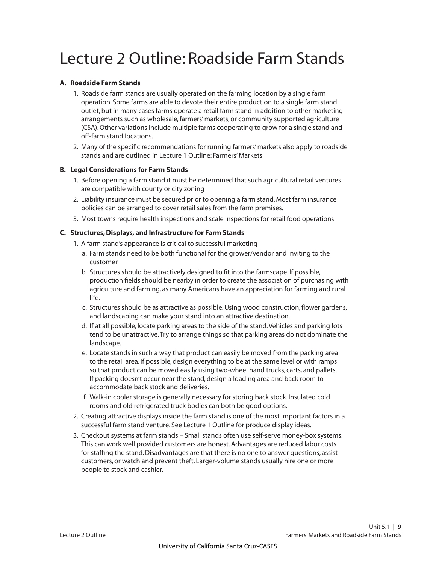# Lecture 2 Outline: Roadside Farm Stands

#### **A. Roadside Farm Stands**

- 1. Roadside farm stands are usually operated on the farming location by a single farm operation. Some farms are able to devote their entire production to a single farm stand outlet, but in many cases farms operate a retail farm stand in addition to other marketing arrangements such as wholesale, farmers' markets, or community supported agriculture (CSA). Other variations include multiple farms cooperating to grow for a single stand and off-farm stand locations.
- 2. Many of the specific recommendations for running farmers' markets also apply to roadside stands and are outlined in Lecture 1 Outline: Farmers' Markets

## **B. Legal Considerations for Farm Stands**

- 1. Before opening a farm stand it must be determined that such agricultural retail ventures are compatible with county or city zoning
- 2. Liability insurance must be secured prior to opening a farm stand. Most farm insurance policies can be arranged to cover retail sales from the farm premises.
- 3. Most towns require health inspections and scale inspections for retail food operations

## **C. Structures, Displays, and Infrastructure for Farm Stands**

- 1. A farm stand's appearance is critical to successful marketing
	- a. Farm stands need to be both functional for the grower/vendor and inviting to the customer
	- b. Structures should be attractively designed to fit into the farmscape. If possible, production fields should be nearby in order to create the association of purchasing with agriculture and farming, as many Americans have an appreciation for farming and rural life.
	- c. Structures should be as attractive as possible. Using wood construction, flower gardens, and landscaping can make your stand into an attractive destination.
	- d. If at all possible, locate parking areas to the side of the stand. Vehicles and parking lots tend to be unattractive. Try to arrange things so that parking areas do not dominate the landscape.
	- e. Locate stands in such a way that product can easily be moved from the packing area to the retail area. If possible, design everything to be at the same level or with ramps so that product can be moved easily using two-wheel hand trucks, carts, and pallets. If packing doesn't occur near the stand, design a loading area and back room to accommodate back stock and deliveries.
	- f. Walk-in cooler storage is generally necessary for storing back stock. Insulated cold rooms and old refrigerated truck bodies can both be good options.
- 2. Creating attractive displays inside the farm stand is one of the most important factors in a successful farm stand venture. See Lecture 1 Outline for produce display ideas.
- 3. Checkout systems at farm stands Small stands often use self-serve money-box systems. This can work well provided customers are honest. Advantages are reduced labor costs for staffing the stand. Disadvantages are that there is no one to answer questions, assist customers, or watch and prevent theft. Larger-volume stands usually hire one or more people to stock and cashier.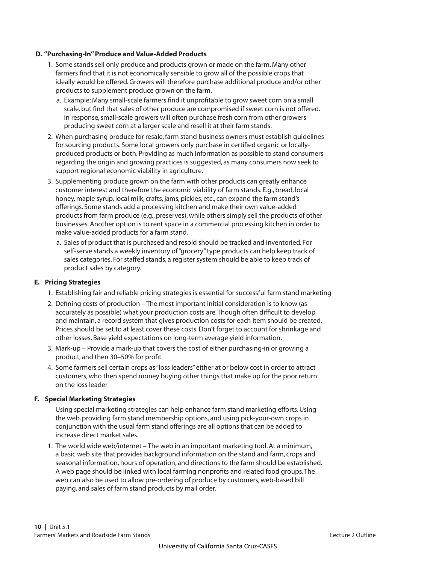#### **D. "Purchasing-In" Produce and Value-Added Products**

- 1. Some stands sell only produce and products grown or made on the farm. Many other farmers find that it is not economically sensible to grow all of the possible crops that ideally would be offered. Growers will therefore purchase additional produce and/or other products to supplement produce grown on the farm.
	- a. Example: Many small-scale farmers find it unprofitable to grow sweet corn on a small scale, but find that sales of other produce are compromised if sweet corn is not offered. In response, small-scale growers will often purchase fresh corn from other growers producing sweet corn at a larger scale and resell it at their farm stands.
- 2. When purchasing produce for resale, farm stand business owners must establish guidelines for sourcing products. Some local growers only purchase in certified organic or locallyproduced products or both. Providing as much information as possible to stand consumers regarding the origin and growing practices is suggested, as many consumers now seek to support regional economic viability in agriculture.
- 3. Supplementing produce grown on the farm with other products can greatly enhance customer interest and therefore the economic viability of farm stands. E.g., bread, local honey, maple syrup, local milk, crafts, jams, pickles, etc., can expand the farm stand's offerings. Some stands add a processing kitchen and make their own value-added products from farm produce (e.g., preserves), while others simply sell the products of other businesses. Another option is to rent space in a commercial processing kitchen in order to make value-added products for a farm stand.
	- a. Sales of product that is purchased and resold should be tracked and inventoried. For self-serve stands a weekly inventory of "grocery" type products can help keep track of sales categories. For staffed stands, a register system should be able to keep track of product sales by category.

## **E. Pricing Strategies**

- 1. Establishing fair and reliable pricing strategies is essential for successful farm stand marketing
- 2. Defining costs of production The most important initial consideration is to know (as accurately as possible) what your production costs are. Though often difficult to develop and maintain, a record system that gives production costs for each item should be created. Prices should be set to at least cover these costs. Don't forget to account for shrinkage and other losses. Base yield expectations on long-term average yield information.
- 3. Mark-up Provide a mark-up that covers the cost of either purchasing-in or growing a product, and then 30–50% for profit
- 4. Some farmers sell certain crops as "loss leaders" either at or below cost in order to attract customers, who then spend money buying other things that make up for the poor return on the loss leader

#### **F. Special Marketing Strategies**

 Using special marketing strategies can help enhance farm stand marketing efforts. Using the web, providing farm stand membership options, and using pick-your-own crops in conjunction with the usual farm stand offerings are all options that can be added to increase direct market sales.

 1. The world wide web/internet – The web in an important marketing tool. At a minimum, a basic web site that provides background information on the stand and farm, crops and seasonal information, hours of operation, and directions to the farm should be established. A web page should be linked with local farming nonprofits and related food groups. The web can also be used to allow pre-ordering of produce by customers, web-based bill paying, and sales of farm stand products by mail order.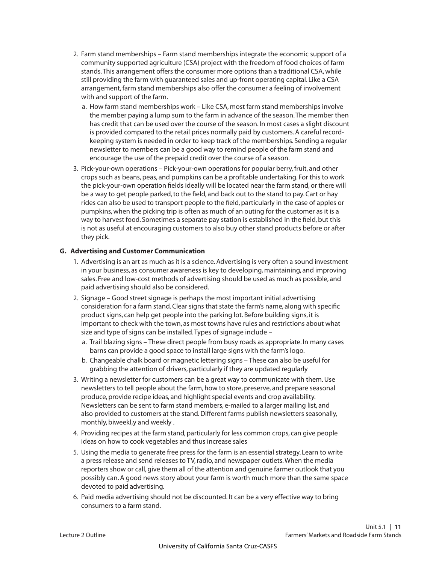- 2. Farm stand memberships Farm stand memberships integrate the economic support of a community supported agriculture (CSA) project with the freedom of food choices of farm stands. This arrangement offers the consumer more options than a traditional CSA, while still providing the farm with guaranteed sales and up-front operating capital. Like a CSA arrangement, farm stand memberships also offer the consumer a feeling of involvement with and support of the farm.
	- a. How farm stand memberships work Like CSA, most farm stand memberships involve the member paying a lump sum to the farm in advance of the season. The member then has credit that can be used over the course of the season. In most cases a slight discount is provided compared to the retail prices normally paid by customers. A careful recordkeeping system is needed in order to keep track of the memberships. Sending a regular newsletter to members can be a good way to remind people of the farm stand and encourage the use of the prepaid credit over the course of a season.
- 3. Pick-your-own operations Pick-your-own operations for popular berry, fruit, and other crops such as beans, peas, and pumpkins can be a profitable undertaking. For this to work the pick-your-own operation fields ideally will be located near the farm stand, or there will be a way to get people parked, to the field, and back out to the stand to pay. Cart or hay rides can also be used to transport people to the field, particularly in the case of apples or pumpkins, when the picking trip is often as much of an outing for the customer as it is a way to harvest food. Sometimes a separate pay station is established in the field, but this is not as useful at encouraging customers to also buy other stand products before or after they pick.

### **G. Advertising and Customer Communication**

- 1. Advertising is an art as much as it is a science. Advertising is very often a sound investment in your business, as consumer awareness is key to developing, maintaining, and improving sales. Free and low-cost methods of advertising should be used as much as possible, and paid advertising should also be considered.
- 2. Signage Good street signage is perhaps the most important initial advertising consideration for a farm stand. Clear signs that state the farm's name, along with specific product signs, can help get people into the parking lot. Before building signs, it is important to check with the town, as most towns have rules and restrictions about what size and type of signs can be installed. Types of signage include –
	- a. Trail blazing signs These direct people from busy roads as appropriate. In many cases barns can provide a good space to install large signs with the farm's logo.
	- b. Changeable chalk board or magnetic lettering signs These can also be useful for grabbing the attention of drivers, particularly if they are updated regularly
- 3. Writing a newsletter for customers can be a great way to communicate with them. Use newsletters to tell people about the farm, how to store, preserve, and prepare seasonal produce, provide recipe ideas, and highlight special events and crop availability. Newsletters can be sent to farm stand members, e-mailed to a larger mailing list, and also provided to customers at the stand. Different farms publish newsletters seasonally, monthly, biweekl,y and weekly .
- 4. Providing recipes at the farm stand, particularly for less common crops, can give people ideas on how to cook vegetables and thus increase sales
- 5. Using the media to generate free press for the farm is an essential strategy. Learn to write a press release and send releases to TV, radio, and newspaper outlets. When the media reporters show or call, give them all of the attention and genuine farmer outlook that you possibly can. A good news story about your farm is worth much more than the same space devoted to paid advertising.
- 6. Paid media advertising should not be discounted. It can be a very effective way to bring consumers to a farm stand.